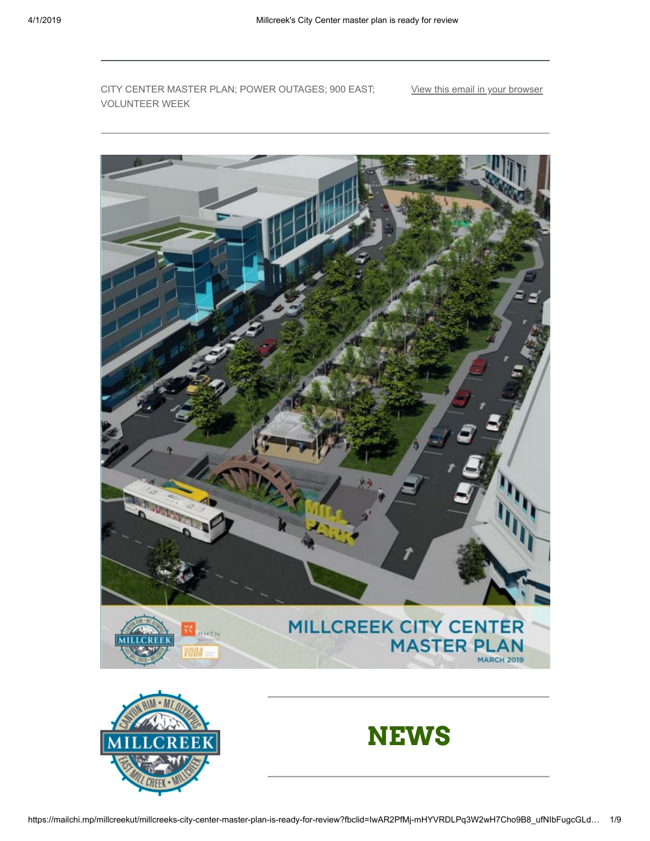CITY CENTER MASTER PLAN; POWER OUTAGES; 900 EAST; VOLUNTEER WEEK

[View this email in your browser](https://mailchi.mp/millcreekut/millcreeks-city-center-master-plan-is-ready-for-review?e=[UNIQID])

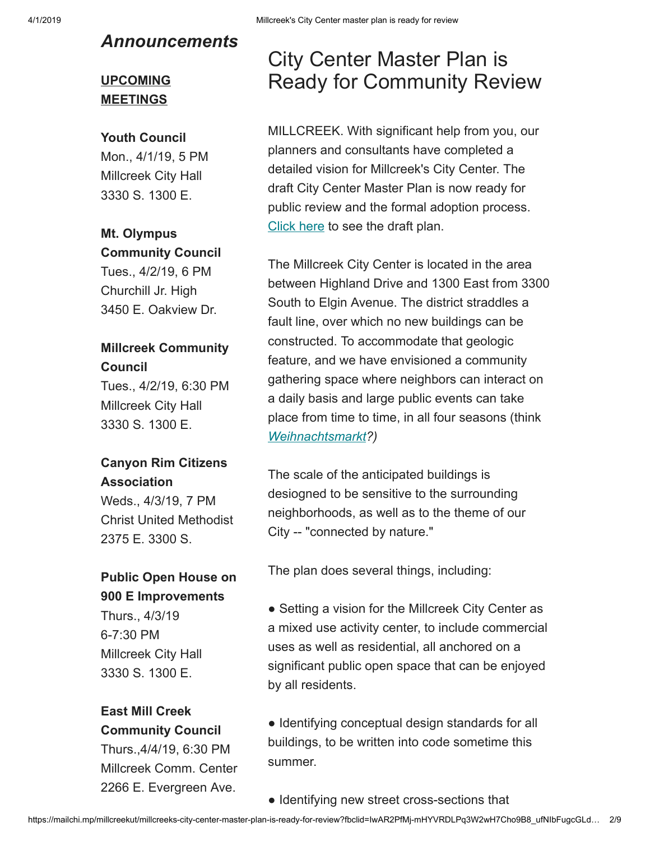### *Announcements*

### **UPCOMING MEETINGS**

#### **Youth Council**

Mon., 4/1/19, 5 PM Millcreek City Hall 3330 S. 1300 E.

### **Mt. Olympus Community Council**

Tues., 4/2/19, 6 PM Churchill Jr. High 3450 E. Oakview Dr.

### **Millcreek Community Council**

Tues., 4/2/19, 6:30 PM Millcreek City Hall 3330 S. 1300 E.

#### **Canyon Rim Citizens Association**

Weds., 4/3/19, 7 PM Christ United Methodist 2375 E. 3300 S.

### **Public Open House on 900 E Improvements**

Thurs., 4/3/19 6-7:30 PM Millcreek City Hall 3330 S. 1300 E.

#### **East Mill Creek Community Council**

Thurs.,4/4/19, 6:30 PM Millcreek Comm. Center 2266 E. Evergreen Ave.

## City Center Master Plan is Ready for Community Review

MILLCREEK. With significant help from you, our planners and consultants have completed a detailed vision for Millcreek's City Center. The draft City Center Master Plan is now ready for public review and the formal adoption process. [Click here](https://millcreek.us/DocumentCenter/View/577/Millcreek-City-Center-Master-Plan-PDF) to see the draft plan.

The Millcreek City Center is located in the area between Highland Drive and 1300 East from 3300 South to Elgin Avenue. The district straddles a fault line, over which no new buildings can be constructed. To accommodate that geologic feature, and we have envisioned a community gathering space where neighbors can interact on a daily basis and large public events can take place from time to time, in all four seasons (think *[Weihnachtsmarkt?](https://en.wikipedia.org/wiki/Christmas_market))*

The scale of the anticipated buildings is desiogned to be sensitive to the surrounding neighborhoods, as well as to the theme of our City -- "connected by nature."

The plan does several things, including:

• Setting a vision for the Millcreek City Center as a mixed use activity center, to include commercial uses as well as residential, all anchored on a significant public open space that can be enjoyed by all residents.

● Identifying conceptual design standards for all buildings, to be written into code sometime this summer.

● Identifying new street cross-sections that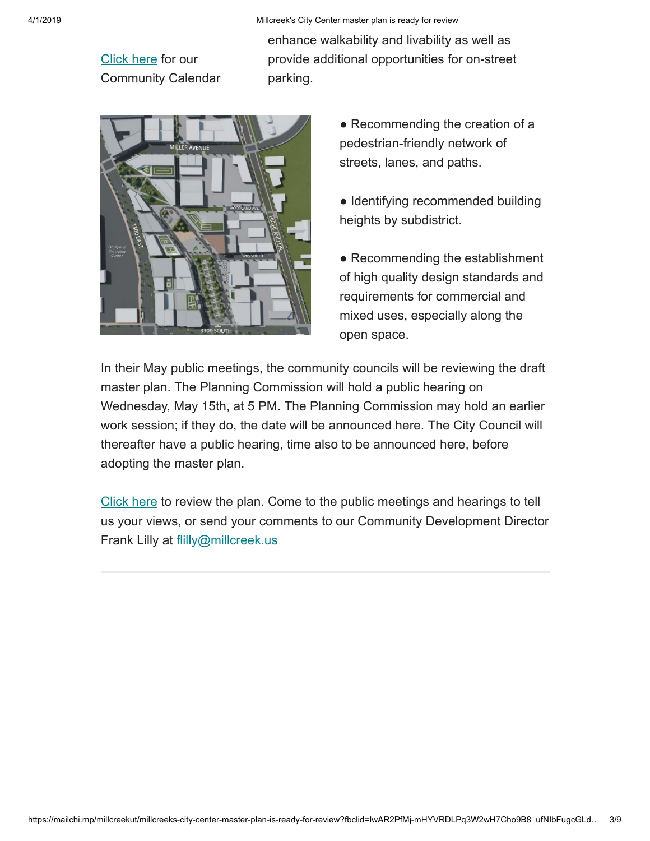[Click here](https://millcreek.us/calendar.aspx?CID=14,22,23) for our Community Calendar enhance walkability and livability as well as provide additional opportunities for on-street parking.



- Recommending the creation of a pedestrian-friendly network of streets, lanes, and paths.
- Identifying recommended building heights by subdistrict.

• Recommending the establishment of high quality design standards and requirements for commercial and mixed uses, especially along the open space.

In their May public meetings, the community councils will be reviewing the draft master plan. The Planning Commission will hold a public hearing on Wednesday, May 15th, at 5 PM. The Planning Commission may hold an earlier work session; if they do, the date will be announced here. The City Council will thereafter have a public hearing, time also to be announced here, before adopting the master plan.

[Click here](https://millcreek.us/DocumentCenter/View/577/Millcreek-City-Center-Master-Plan-PDF) to review the plan. Come to the public meetings and hearings to tell us your views, or send your comments to our Community Development Director Frank Lilly at [flilly@millcreek.us](mailto:flilly@millcreek.us?subject=Millcreek%20City%20Center%20Master%20Plan%20comment)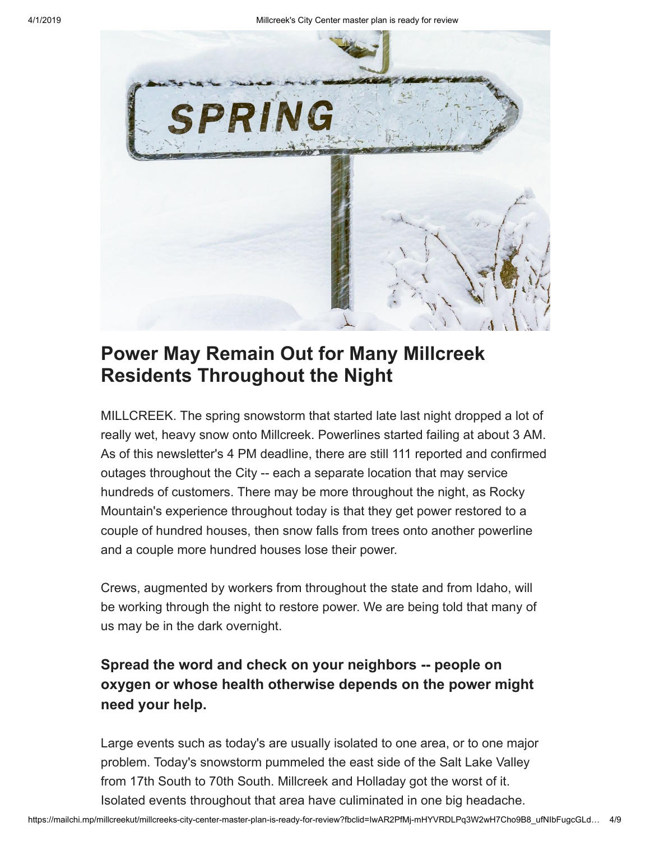

### **Power May Remain Out for Many Millcreek Residents Throughout the Night**

MILLCREEK. The spring snowstorm that started late last night dropped a lot of really wet, heavy snow onto Millcreek. Powerlines started failing at about 3 AM. As of this newsletter's 4 PM deadline, there are still 111 reported and confirmed outages throughout the City -- each a separate location that may service hundreds of customers. There may be more throughout the night, as Rocky Mountain's experience throughout today is that they get power restored to a couple of hundred houses, then snow falls from trees onto another powerline and a couple more hundred houses lose their power.

Crews, augmented by workers from throughout the state and from Idaho, will be working through the night to restore power. We are being told that many of us may be in the dark overnight.

### **Spread the word and check on your neighbors -- people on oxygen or whose health otherwise depends on the power might need your help.**

Large events such as today's are usually isolated to one area, or to one major problem. Today's snowstorm pummeled the east side of the Salt Lake Valley from 17th South to 70th South. Millcreek and Holladay got the worst of it. Isolated events throughout that area have culiminated in one big headache.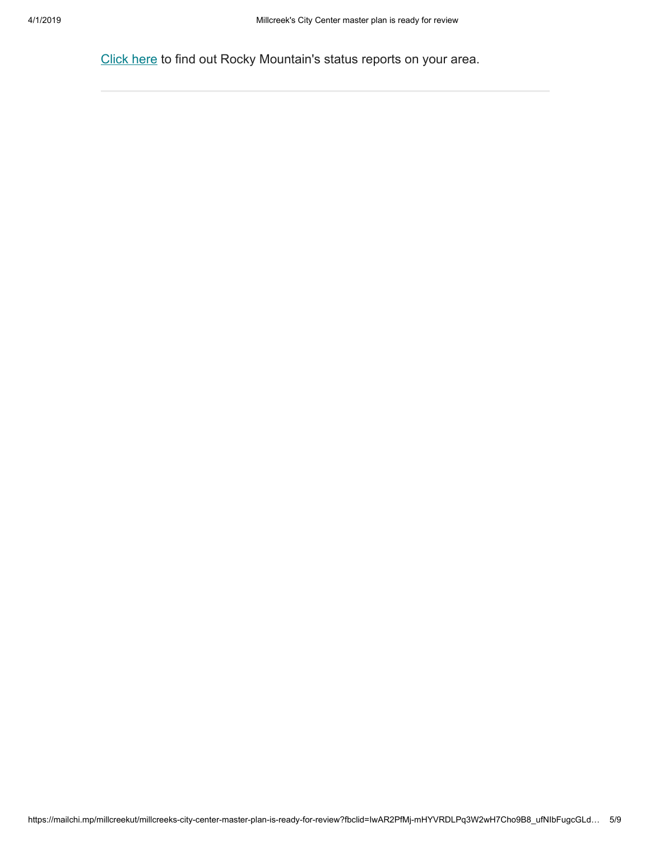[Click here](https://www.rockymountainpower.net/ed/po/uom.html) to find out Rocky Mountain's status reports on your area.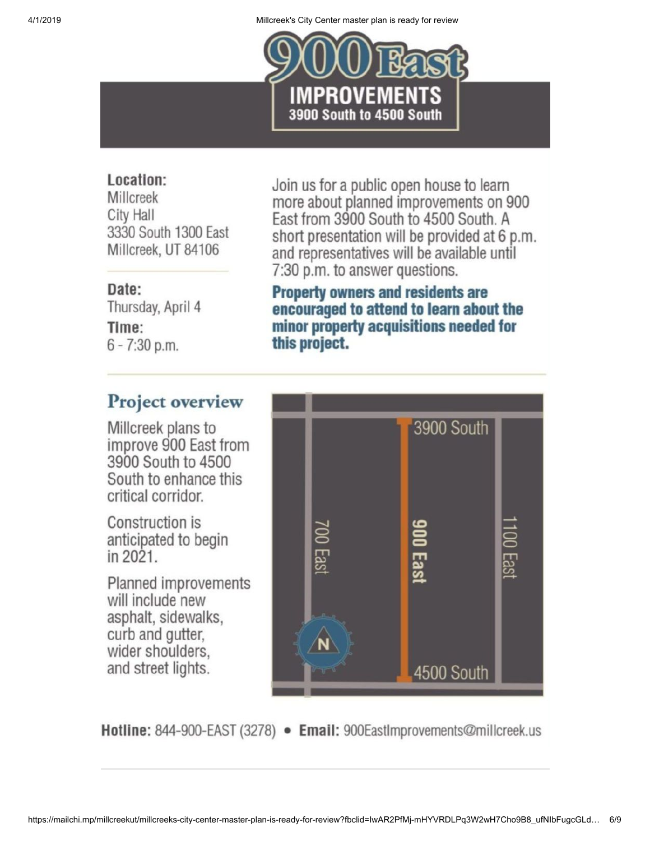

### Location:

Millcreek **City Hall** 3330 South 1300 East Millcreek, UT 84106

### Date:

Thursday, April 4 Time:  $6 - 7:30$  p.m.

Join us for a public open house to learn more about planned improvements on 900 East from 3900 South to 4500 South. A short presentation will be provided at 6 p.m. and representatives will be available until 7:30 p.m. to answer questions.

**Property owners and residents are** encouraged to attend to learn about the minor property acquisitions needed for this project.

### Project overview

Millcreek plans to improve 900 East from 3900 South to 4500 South to enhance this critical corridor.

Construction is anticipated to begin in 2021.

**Planned improvements** will include new asphalt, sidewalks, curb and gutter, wider shoulders. and street lights.



Hotline: 844-900-EAST (3278) • Email: 900EastImprovements@millcreek.us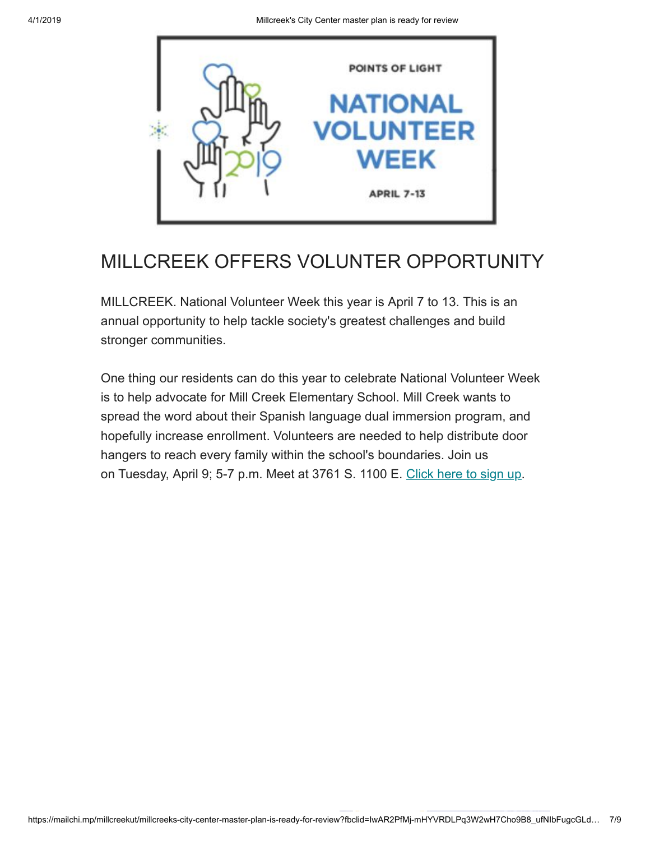

## MILLCREEK OFFERS VOLUNTER OPPORTUNITY

MILLCREEK. National Volunteer Week this year is April 7 to 13. This is an annual opportunity to help tackle society's greatest challenges and build stronger communities.

One thing our residents can do this year to celebrate National Volunteer Week is to help advocate for Mill Creek Elementary School. Mill Creek wants to spread the word about their Spanish language dual immersion program, and hopefully increase enrollment. Volunteers are needed to help distribute door hangers to reach every family within the school's boundaries. Join us on Tuesday, April 9; 5-7 p.m. Meet at 3761 S. 1100 E. [Click here to sign up.](https://volunteer.uw.org/opportunities/X0wQtUMEwJ)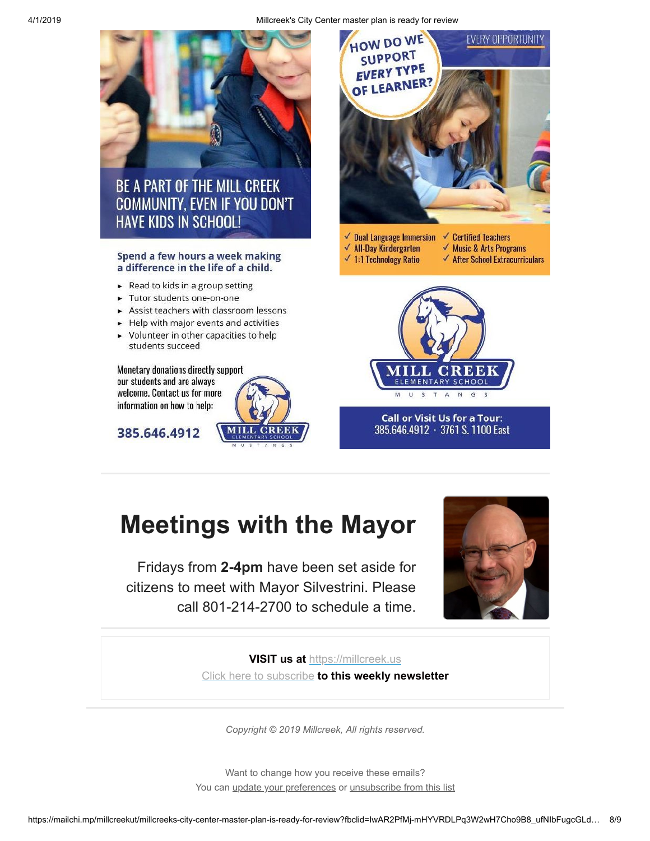

# **Meetings with the Mayor**

Fridays from **2-4pm** have been set aside for citizens to meet with Mayor Silvestrini. Please call 801-214-2700 to schedule a time.



**VISIT us at** [https://millcreek.us](https://millcreek.us/) [Click here to subscribe](http://millcreekut.us1.list-manage.com/subscribe?u=41cb21e12764b9940f492b953&id=ce902d47c8) **to this weekly newsletter**

*Copyright © 2019 Millcreek, All rights reserved.*

Want to change how you receive these emails? You can [update your preferences](https://millcreek.us1.list-manage.com/profile?u=41cb21e12764b9940f492b953&id=ce902d47c8&e=[UNIQID]) or [unsubscribe from this list](https://millcreek.us1.list-manage.com/unsubscribe?u=41cb21e12764b9940f492b953&id=ce902d47c8&e=[UNIQID]&c=f6f89b7291)